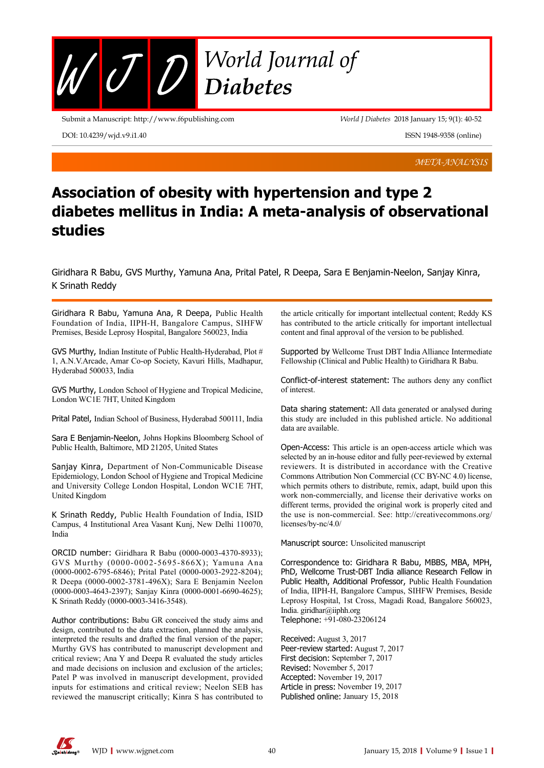

Submit a Manuscript: http://www.f6publishing.com

*World J Diabetes* 2018 January 15; 9(1): 40-52

DOI: 10.4239/wjd.v9.i1.40

*META-ANALYSIS*

ISSN 1948-9358 (online)

# **Association of obesity with hypertension and type 2 diabetes mellitus in India: A meta-analysis of observational studies**

Giridhara R Babu, GVS Murthy, Yamuna Ana, Prital Patel, R Deepa, Sara E Benjamin-Neelon, Sanjay Kinra, K Srinath Reddy

Giridhara R Babu, Yamuna Ana, R Deepa, Public Health Foundation of India, IIPH-H, Bangalore Campus, SIHFW Premises, Beside Leprosy Hospital, Bangalore 560023, India

GVS Murthy, Indian Institute of Public Health-Hyderabad, Plot # 1, A.N.V.Arcade, Amar Co-op Society, Kavuri Hills, Madhapur, Hyderabad 500033, India

GVS Murthy, London School of Hygiene and Tropical Medicine, London WC1E 7HT, United Kingdom

Prital Patel, Indian School of Business, Hyderabad 500111, India

Sara E Benjamin-Neelon, Johns Hopkins Bloomberg School of Public Health, Baltimore, MD 21205, United States

Sanjay Kinra, Department of Non-Communicable Disease Epidemiology, London School of Hygiene and Tropical Medicine and University College London Hospital, London WC1E 7HT, United Kingdom

K Srinath Reddy, Public Health Foundation of India, ISID Campus, 4 Institutional Area Vasant Kunj, New Delhi 110070, India

ORCID number: Giridhara R Babu (0000-0003-4370-8933); GVS Murthy (0000-0002-5695-866X); Yamuna Ana (0000-0002-6795-6846); Prital Patel (0000-0003-2922-8204); R Deepa (0000-0002-3781-496X); Sara E Benjamin Neelon (0000-0003-4643-2397); Sanjay Kinra (0000-0001-6690-4625); K Srinath Reddy (0000-0003-3416-3548).

Author contributions: Babu GR conceived the study aims and design, contributed to the data extraction, planned the analysis, interpreted the results and drafted the final version of the paper; Murthy GVS has contributed to manuscript development and critical review; Ana Y and Deepa R evaluated the study articles and made decisions on inclusion and exclusion of the articles; Patel P was involved in manuscript development, provided inputs for estimations and critical review; Neelon SEB has reviewed the manuscript critically; Kinra S has contributed to the article critically for important intellectual content; Reddy KS has contributed to the article critically for important intellectual content and final approval of the version to be published.

Supported by Wellcome Trust DBT India Alliance Intermediate Fellowship (Clinical and Public Health) to Giridhara R Babu.

Conflict-of-interest statement: The authors deny any conflict of interest.

Data sharing statement: All data generated or analysed during this study are included in this published article. No additional data are available.

Open-Access: This article is an open-access article which was selected by an in-house editor and fully peer-reviewed by external reviewers. It is distributed in accordance with the Creative Commons Attribution Non Commercial (CC BY-NC 4.0) license, which permits others to distribute, remix, adapt, build upon this work non-commercially, and license their derivative works on different terms, provided the original work is properly cited and the use is non-commercial. See: http://creativecommons.org/ licenses/by-nc/4.0/

Manuscript source: Unsolicited manuscript

Correspondence to: Giridhara R Babu, MBBS, MBA, MPH, PhD, Wellcome Trust-DBT India alliance Research Fellow in Public Health, Additional Professor, Public Health Foundation of India, IIPH-H, Bangalore Campus, SIHFW Premises, Beside Leprosy Hospital, 1st Cross, Magadi Road, Bangalore 560023, India. giridhar@iiphh.org Telephone: +91-080-23206124

Received: August 3, 2017 Peer-review started: August 7, 2017 First decision: September 7, 2017 Revised: November 5, 2017 Accepted: November 19, 2017 Article in press: November 19, 2017 Published online: January 15, 2018

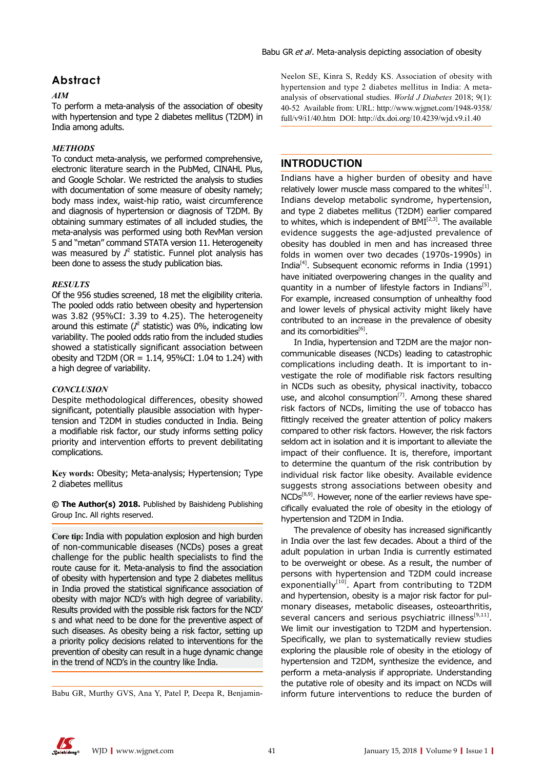# **Abstract**

### *AIM*

To perform a meta-analysis of the association of obesity with hypertension and type 2 diabetes mellitus (T2DM) in India among adults.

### *METHODS*

To conduct meta-analysis, we performed comprehensive, electronic literature search in the PubMed, CINAHL Plus, and Google Scholar. We restricted the analysis to studies with documentation of some measure of obesity namely; body mass index, waist-hip ratio, waist circumference and diagnosis of hypertension or diagnosis of T2DM. By obtaining summary estimates of all included studies, the meta-analysis was performed using both RevMan version 5 and "metan" command STATA version 11. Heterogeneity was measured by  $I^2$  statistic. Funnel plot analysis has been done to assess the study publication bias.

### *RESULTS*

Of the 956 studies screened, 18 met the eligibility criteria. The pooled odds ratio between obesity and hypertension was 3.82 (95%CI: 3.39 to 4.25). The heterogeneity around this estimate ( $I^2$  statistic) was 0%, indicating low variability. The pooled odds ratio from the included studies showed a statistically significant association between obesity and T2DM (OR =  $1.14$ , 95%CI: 1.04 to 1.24) with a high degree of variability.

### *CONCLUSION*

Despite methodological differences, obesity showed significant, potentially plausible association with hypertension and T2DM in studies conducted in India. Being a modifiable risk factor, our study informs setting policy priority and intervention efforts to prevent debilitating complications.

**Key words:** Obesity; Meta-analysis; Hypertension; Type 2 diabetes mellitus

**© The Author(s) 2018.** Published by Baishideng Publishing Group Inc. All rights reserved.

**Core tip:** India with population explosion and high burden of non-communicable diseases (NCDs) poses a great challenge for the public health specialists to find the route cause for it. Meta-analysis to find the association of obesity with hypertension and type 2 diabetes mellitus in India proved the statistical significance association of obesity with major NCD's with high degree of variability. Results provided with the possible risk factors for the NCD' s and what need to be done for the preventive aspect of such diseases. As obesity being a risk factor, setting up a priority policy decisions related to interventions for the prevention of obesity can result in a huge dynamic change in the trend of NCD's in the country like India.

Babu GR, Murthy GVS, Ana Y, Patel P, Deepa R, Benjamin-

Neelon SE, Kinra S, Reddy KS. Association of obesity with hypertension and type 2 diabetes mellitus in India: A metaanalysis of observational studies. *World J Diabetes* 2018; 9(1): 40-52 Available from: URL: http://www.wjgnet.com/1948-9358/ full/v9/i1/40.htm DOI: http://dx.doi.org/10.4239/wjd.v9.i1.40

### **INTRODUCTION**

Indians have a higher burden of obesity and have relatively lower muscle mass compared to the whites $<sup>[1]</sup>$ .</sup> Indians develop metabolic syndrome, hypertension, and type 2 diabetes mellitus (T2DM) earlier compared to whites, which is independent of  $BMI^{[2,3]}$ . The available evidence suggests the age-adjusted prevalence of obesity has doubled in men and has increased three folds in women over two decades (1970s-1990s) in India[4]. Subsequent economic reforms in India (1991) have initiated overpowering changes in the quality and quantity in a number of lifestyle factors in Indians<sup>[5]</sup>. For example, increased consumption of unhealthy food and lower levels of physical activity might likely have contributed to an increase in the prevalence of obesity and its comorbidities $[6]$ .

In India, hypertension and T2DM are the major noncommunicable diseases (NCDs) leading to catastrophic complications including death. It is important to investigate the role of modifiable risk factors resulting in NCDs such as obesity, physical inactivity, tobacco use, and alcohol consumption $^{[7]}$ . Among these shared risk factors of NCDs, limiting the use of tobacco has fittingly received the greater attention of policy makers compared to other risk factors. However, the risk factors seldom act in isolation and it is important to alleviate the impact of their confluence. It is, therefore, important to determine the quantum of the risk contribution by individual risk factor like obesity. Available evidence suggests strong associations between obesity and NCDs<sup>[8,9]</sup>. However, none of the earlier reviews have specifically evaluated the role of obesity in the etiology of hypertension and T2DM in India.

The prevalence of obesity has increased significantly in India over the last few decades. About a third of the adult population in urban India is currently estimated to be overweight or obese. As a result, the number of persons with hypertension and T2DM could increase exponentially<sup>[10]</sup>. Apart from contributing to T2DM and hypertension, obesity is a major risk factor for pulmonary diseases, metabolic diseases, osteoarthritis, several cancers and serious psychiatric illness<sup>[9,11]</sup>. We limit our investigation to T2DM and hypertension. Specifically, we plan to systematically review studies exploring the plausible role of obesity in the etiology of hypertension and T2DM, synthesize the evidence, and perform a meta-analysis if appropriate. Understanding the putative role of obesity and its impact on NCDs will inform future interventions to reduce the burden of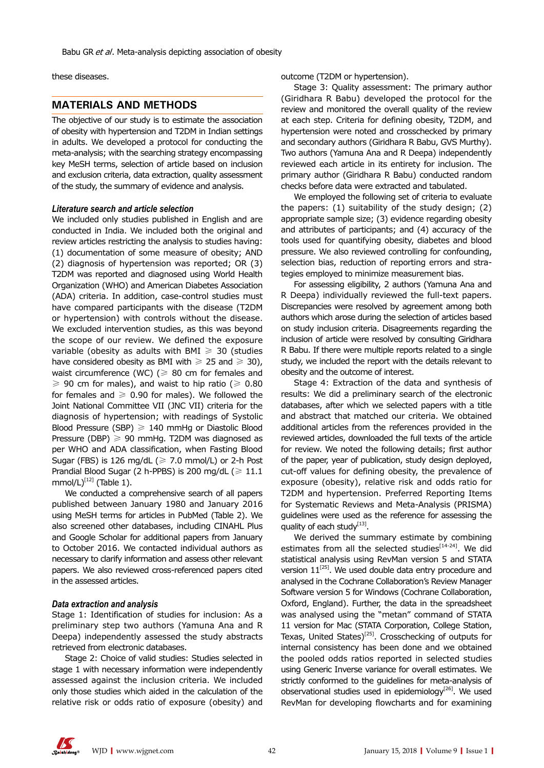these diseases.

### **MATERIALS AND METHODS**

The objective of our study is to estimate the association of obesity with hypertension and T2DM in Indian settings in adults. We developed a protocol for conducting the meta-analysis; with the searching strategy encompassing key MeSH terms, selection of article based on inclusion and exclusion criteria, data extraction, quality assessment of the study, the summary of evidence and analysis.

### *Literature search and article selection*

We included only studies published in English and are conducted in India. We included both the original and review articles restricting the analysis to studies having: (1) documentation of some measure of obesity; AND (2) diagnosis of hypertension was reported; OR (3) T2DM was reported and diagnosed using World Health Organization (WHO) and American Diabetes Association (ADA) criteria. In addition, case-control studies must have compared participants with the disease (T2DM or hypertension) with controls without the disease. We excluded intervention studies, as this was beyond the scope of our review. We defined the exposure variable (obesity as adults with BMI  $\geq$  30 (studies have considered obesity as BMI with  $\geq 25$  and  $\geq 30$ ), waist circumference (WC) ( $\geq$  80 cm for females and  $\geqslant$  90 cm for males), and waist to hip ratio ( $\geqslant$  0.80 for females and  $\geq 0.90$  for males). We followed the Joint National Committee VII (JNC VII) criteria for the diagnosis of hypertension; with readings of Systolic Blood Pressure (SBP)  $\geq$  140 mmHg or Diastolic Blood Pressure (DBP)  $\geq$  90 mmHg. T2DM was diagnosed as per WHO and ADA classification, when Fasting Blood Sugar (FBS) is 126 mg/dL ( $\geq 7.0$  mmol/L) or 2-h Post Prandial Blood Sugar (2 h-PPBS) is 200 mg/dL ( $\geq 11.1$ mmol/L $)^{[12]}$  (Table 1).

We conducted a comprehensive search of all papers published between January 1980 and January 2016 using MeSH terms for articles in PubMed (Table 2). We also screened other databases, including CINAHL Plus and Google Scholar for additional papers from January to October 2016. We contacted individual authors as necessary to clarify information and assess other relevant papers. We also reviewed cross-referenced papers cited in the assessed articles.

### *Data extraction and analysis*

Stage 1: Identification of studies for inclusion: As a preliminary step two authors (Yamuna Ana and R Deepa) independently assessed the study abstracts retrieved from electronic databases.

Stage 2: Choice of valid studies: Studies selected in stage 1 with necessary information were independently assessed against the inclusion criteria. We included only those studies which aided in the calculation of the relative risk or odds ratio of exposure (obesity) and outcome (T2DM or hypertension).

Stage 3: Quality assessment: The primary author (Giridhara R Babu) developed the protocol for the review and monitored the overall quality of the review at each step. Criteria for defining obesity, T2DM, and hypertension were noted and crosschecked by primary and secondary authors (Giridhara R Babu, GVS Murthy). Two authors (Yamuna Ana and R Deepa) independently reviewed each article in its entirety for inclusion. The primary author (Giridhara R Babu) conducted random checks before data were extracted and tabulated.

We employed the following set of criteria to evaluate the papers: (1) suitability of the study design; (2) appropriate sample size; (3) evidence regarding obesity and attributes of participants; and (4) accuracy of the tools used for quantifying obesity, diabetes and blood pressure. We also reviewed controlling for confounding, selection bias, reduction of reporting errors and strategies employed to minimize measurement bias.

For assessing eligibility, 2 authors (Yamuna Ana and R Deepa) individually reviewed the full-text papers. Discrepancies were resolved by agreement among both authors which arose during the selection of articles based on study inclusion criteria. Disagreements regarding the inclusion of article were resolved by consulting Giridhara R Babu. If there were multiple reports related to a single study, we included the report with the details relevant to obesity and the outcome of interest.

Stage 4: Extraction of the data and synthesis of results: We did a preliminary search of the electronic databases, after which we selected papers with a title and abstract that matched our criteria. We obtained additional articles from the references provided in the reviewed articles, downloaded the full texts of the article for review. We noted the following details; first author of the paper, year of publication, study design deployed, cut-off values for defining obesity, the prevalence of exposure (obesity), relative risk and odds ratio for T2DM and hypertension. Preferred Reporting Items for Systematic Reviews and Meta-Analysis (PRISMA) guidelines were used as the reference for assessing the quality of each study $[13]$ .

We derived the summary estimate by combining estimates from all the selected studies<sup> $[14-24]$ </sup>. We did statistical analysis using RevMan version 5 and STATA version  $11^{[25]}$ . We used double data entry procedure and analysed in the Cochrane Collaboration's Review Manager Software version 5 for Windows (Cochrane Collaboration, Oxford, England). Further, the data in the spreadsheet was analysed using the "metan" command of STATA 11 version for Mac (STATA Corporation, College Station, Texas, United States)<sup>[25]</sup>. Crosschecking of outputs for internal consistency has been done and we obtained the pooled odds ratios reported in selected studies using Generic Inverse variance for overall estimates. We strictly conformed to the guidelines for meta-analysis of observational studies used in epidemiology $[26]$ . We used RevMan for developing flowcharts and for examining

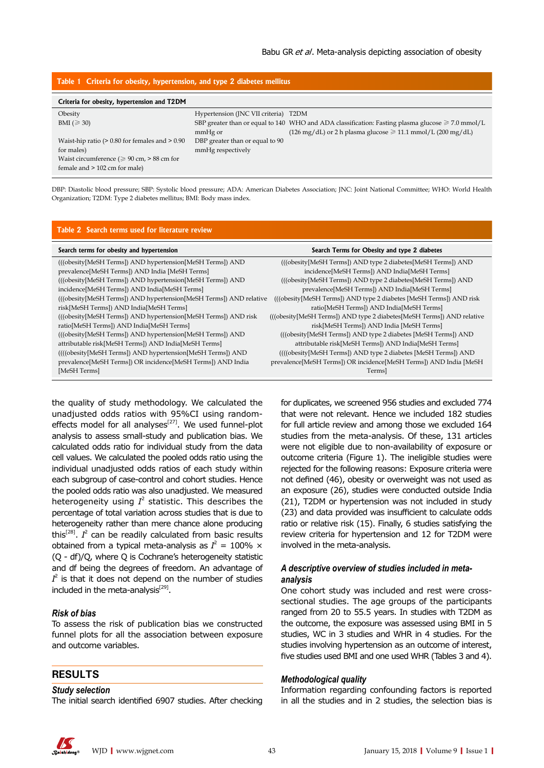#### **Table 1 Criteria for obesity, hypertension, and type 2 diabetes mellitus**

| Criteria for obesity, hypertension and T2DM         |                                      |                                                                                                       |
|-----------------------------------------------------|--------------------------------------|-------------------------------------------------------------------------------------------------------|
| Obesity                                             | Hypertension (JNC VII criteria) T2DM |                                                                                                       |
| BMI ( $\geq 30$ )                                   |                                      | SBP greater than or equal to 140 WHO and ADA classification: Fasting plasma glucose $\geq 7.0$ mmol/L |
|                                                     | mmHg or                              | $(126 \text{ mg/dL})$ or 2 h plasma glucose $\geq 11.1$ mmol/L (200 mg/dL)                            |
| Waist-hip ratio ( $> 0.80$ for females and $> 0.90$ | DBP greater than or equal to 90      |                                                                                                       |
| for males)                                          | mmHg respectively                    |                                                                                                       |
| Waist circumference ( $\geq 90$ cm, $> 88$ cm for   |                                      |                                                                                                       |
| female and > 102 cm for male)                       |                                      |                                                                                                       |
|                                                     |                                      |                                                                                                       |

DBP: Diastolic blood pressure; SBP: Systolic blood pressure; ADA: American Diabetes Association; JNC: Joint National Committee; WHO: World Health Organization; T2DM: Type 2 diabetes mellitus; BMI: Body mass index.

| Table 2 Search terms used for literature review                    |                                                                       |
|--------------------------------------------------------------------|-----------------------------------------------------------------------|
| Search terms for obesity and hypertension                          | Search Terms for Obesity and type 2 diabetes                          |
| (((obesity[MeSH Terms]) AND hypertension[MeSH Terms]) AND          | (((obesity[MeSH Terms]) AND type 2 diabetes[MeSH Terms]) AND          |
| prevalence[MeSH Terms]) AND India [MeSH Terms]                     | incidence[MeSH Terms]) AND India[MeSH Terms]                          |
| (((obesity[MeSH Terms]) AND hypertension[MeSH Terms]) AND          | (((obesity[MeSH Terms]) AND type 2 diabetes[MeSH Terms]) AND          |
| incidence[MeSH Terms]) AND India[MeSH Terms]                       | prevalence[MeSH Terms]) AND India[MeSH Terms]                         |
| (((obesity[MeSH Terms]) AND hypertension[MeSH Terms]) AND relative | (((obesity[MeSH Terms]) AND type 2 diabetes [MeSH Terms]) AND risk    |
| risk[MeSH Terms]) AND India[MeSH Terms]                            | ratio[MeSH Terms]) AND India[MeSH Terms]                              |
| (((obesity[MeSH Terms]) AND hypertension[MeSH Terms]) AND risk     | (((obesity[MeSH Terms]) AND type 2 diabetes[MeSH Terms]) AND relative |
| ratio[MeSH Terms]) AND India[MeSH Terms]                           | risk[MeSH Terms]) AND India [MeSH Terms]                              |
| (((obesity[MeSH Terms]) AND hypertension[MeSH Terms]) AND          | (((obesity[MeSH Terms]) AND type 2 diabetes [MeSH Terms]) AND         |
| attributable risk[MeSH Terms]) AND India[MeSH Terms]               | attributable risk[MeSH Terms]) AND India[MeSH Terms]                  |
| ((((obesity[MeSH Terms]) AND hypertension[MeSH Terms]) AND         | ((((obesity[MeSH Terms]) AND type 2 diabetes [MeSH Terms]) AND        |
| prevalence[MeSH Terms]) OR incidence[MeSH Terms]) AND India        | prevalence[MeSH Terms]) OR incidence[MeSH Terms]) AND India [MeSH     |
| [MeSH Terms]                                                       | Termsl                                                                |

the quality of study methodology. We calculated the unadjusted odds ratios with 95%CI using randomeffects model for all analyses $[27]$ . We used funnel-plot analysis to assess small-study and publication bias. We calculated odds ratio for individual study from the data cell values. We calculated the pooled odds ratio using the individual unadjusted odds ratios of each study within each subgroup of case-control and cohort studies. Hence the pooled odds ratio was also unadjusted. We measured heterogeneity using  $I^2$  statistic. This describes the percentage of total variation across studies that is due to heterogeneity rather than mere chance alone producing this<sup>[28]</sup>.  $I^2$  can be readily calculated from basic results obtained from a typical meta-analysis as  $I^2 = 100\% \times$ (Q - df)/Q, where Q is Cochrane's heterogeneity statistic and df being the degrees of freedom. An advantage of  $I^2$  is that it does not depend on the number of studies included in the meta-analysis $^{[29]}$ .

#### *Risk of bias*

To assess the risk of publication bias we constructed funnel plots for all the association between exposure and outcome variables.

### **RESULTS**

#### *Study selection*

The initial search identified 6907 studies. After checking

for duplicates, we screened 956 studies and excluded 774 that were not relevant. Hence we included 182 studies for full article review and among those we excluded 164 studies from the meta-analysis. Of these, 131 articles were not eligible due to non-availability of exposure or outcome criteria (Figure 1). The ineligible studies were rejected for the following reasons: Exposure criteria were not defined (46), obesity or overweight was not used as an exposure (26), studies were conducted outside India (21), T2DM or hypertension was not included in study (23) and data provided was insufficient to calculate odds ratio or relative risk (15). Finally, 6 studies satisfying the review criteria for hypertension and 12 for T2DM were involved in the meta-analysis.

### *A descriptive overview of studies included in metaanalysis*

One cohort study was included and rest were crosssectional studies. The age groups of the participants ranged from 20 to 55.5 years. In studies with T2DM as the outcome, the exposure was assessed using BMI in 5 studies, WC in 3 studies and WHR in 4 studies. For the studies involving hypertension as an outcome of interest, five studies used BMI and one used WHR (Tables 3 and 4).

#### *Methodological quality*

Information regarding confounding factors is reported in all the studies and in 2 studies, the selection bias is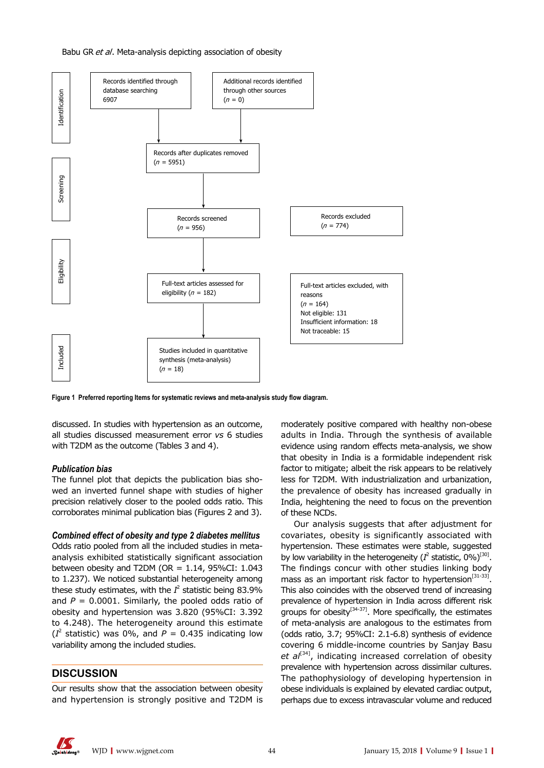

**Figure 1 Preferred reporting Items for systematic reviews and meta-analysis study flow diagram.**

discussed. In studies with hypertension as an outcome, all studies discussed measurement error *vs* 6 studies with T2DM as the outcome (Tables 3 and 4).

### *Publication bias*

The funnel plot that depicts the publication bias showed an inverted funnel shape with studies of higher precision relatively closer to the pooled odds ratio. This corroborates minimal publication bias (Figures 2 and 3).

*Combined effect of obesity and type 2 diabetes mellitus* 

Odds ratio pooled from all the included studies in metaanalysis exhibited statistically significant association between obesity and T2DM (OR =  $1.14$ , 95%CI:  $1.043$ to 1.237). We noticed substantial heterogeneity among these study estimates, with the  $I^2$  statistic being 83.9% and  $P = 0.0001$ . Similarly, the pooled odds ratio of obesity and hypertension was 3.820 (95%CI: 3.392 to 4.248). The heterogeneity around this estimate  $(I<sup>2</sup>$  statistic) was 0%, and  $P = 0.435$  indicating low variability among the included studies.

### **DISCUSSION**

Our results show that the association between obesity and hypertension is strongly positive and T2DM is moderately positive compared with healthy non-obese adults in India. Through the synthesis of available evidence using random effects meta-analysis, we show that obesity in India is a formidable independent risk factor to mitigate; albeit the risk appears to be relatively less for T2DM. With industrialization and urbanization, the prevalence of obesity has increased gradually in India, heightening the need to focus on the prevention of these NCDs.

Our analysis suggests that after adjustment for covariates, obesity is significantly associated with hypertension. These estimates were stable, suggested by low variability in the heterogeneity  $(I^2 \text{ statistic}, 0\%)^{[30]}$ . The findings concur with other studies linking body mass as an important risk factor to hypertension $^{[31-33]}$ . This also coincides with the observed trend of increasing prevalence of hypertension in India across different risk aroups for obesity $[34-37]$ . More specifically, the estimates of meta-analysis are analogous to the estimates from (odds ratio, 3.7; 95%CI: 2.1-6.8) synthesis of evidence covering 6 middle-income countries by Sanjay Basu et al<sup>[34]</sup>, indicating increased correlation of obesity prevalence with hypertension across dissimilar cultures. The pathophysiology of developing hypertension in obese individuals is explained by elevated cardiac output, perhaps due to excess intravascular volume and reduced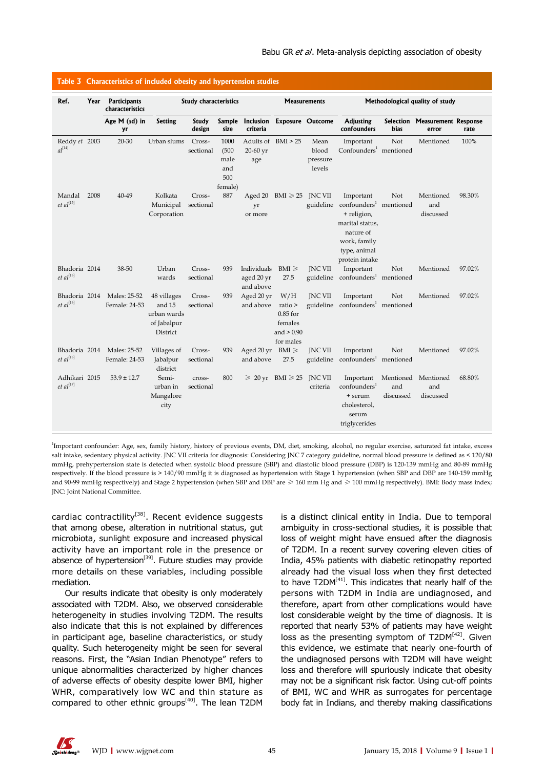| Table 3 Characteristics of included obesity and hypertension studies |      |                                             |                                                                 |                        |                                                |                                        |                                                                      |                                     |                                                                                                                                                  |                               |                                         |        |
|----------------------------------------------------------------------|------|---------------------------------------------|-----------------------------------------------------------------|------------------------|------------------------------------------------|----------------------------------------|----------------------------------------------------------------------|-------------------------------------|--------------------------------------------------------------------------------------------------------------------------------------------------|-------------------------------|-----------------------------------------|--------|
| Ref.                                                                 | Year | <b>Participants</b><br>characteristics      | <b>Study characteristics</b>                                    |                        |                                                |                                        |                                                                      | <b>Measurements</b>                 | Methodological quality of study                                                                                                                  |                               |                                         |        |
|                                                                      |      | Age M (sd) in<br>yr                         | <b>Setting</b>                                                  | <b>Study</b><br>design | Sample<br>size                                 | criteria                               | Inclusion Exposure Outcome                                           |                                     | <b>Adjusting</b><br>confounders                                                                                                                  | bias                          | Selection Measurement Response<br>error | rate   |
| Reddy et 2003<br>$al^{[14]}$                                         |      | 20-30                                       | Urban slums                                                     | Cross-<br>sectional    | 1000<br>(500)<br>male<br>and<br>500<br>female) | Adults of BMI > 25<br>20-60 yr<br>age  |                                                                      | Mean<br>blood<br>pressure<br>levels | Important<br>Confounders <sup>1</sup> mentioned                                                                                                  | Not                           | Mentioned                               | 100%   |
| Mandal<br>$et$ $al[15]$                                              | 2008 | 40-49                                       | Kolkata<br>Municipal<br>Corporation                             | Cross-<br>sectional    | 887                                            | Aged 20<br>yr<br>or more               | $BMI \geqslant 25$                                                   | INC VII<br>guideline                | Important<br>confounders <sup>1</sup> mentioned<br>+ religion,<br>marital status,<br>nature of<br>work, family<br>type, animal<br>protein intake | Not                           | Mentioned<br>and<br>discussed           | 98.30% |
| Bhadoria 2014<br>$et$ $al[16]$                                       |      | 38-50                                       | Urban<br>wards                                                  | Cross-<br>sectional    | 939                                            | Individuals<br>aged 20 yr<br>and above | $BMI \geq$<br>27.5                                                   | <b>INC VII</b><br>guideline         | Important<br>confounders <sup>1</sup> mentioned                                                                                                  | Not                           | Mentioned                               | 97.02% |
| $et$ $al[16]$                                                        |      | Bhadoria 2014 Males: 25-52<br>Female: 24-53 | 48 villages<br>and 15<br>urban wards<br>of Jabalpur<br>District | Cross-<br>sectional    | 939                                            | Aged 20 yr<br>and above                | W/H<br>ratio ><br>$0.85$ for<br>females<br>and $> 0.90$<br>for males | <b>INC VII</b>                      | Important<br>guideline confounders <sup>1</sup> mentioned                                                                                        | Not                           | Mentioned                               | 97.02% |
| Bhadoria 2014<br>$et$ al <sup>[16]</sup>                             |      | Males: 25-52<br>Female: 24-53               | Villages of<br>Jabalpur<br>district                             | Cross-<br>sectional    | 939                                            | Aged 20 yr BMI $\geq$<br>and above     | 27.5                                                                 | <b>INC VII</b><br>guideline         | Important<br>confounders <sup>1</sup> mentioned                                                                                                  | Not                           | Mentioned                               | 97.02% |
| Adhikari 2015<br>$et$ $al^{[17]}$                                    |      | $53.9 \pm 12.7$                             | Semi-<br>urban in<br>Mangalore<br>city                          | cross-<br>sectional    | 800                                            |                                        | $\geqslant$ 20 yr BMI $\geqslant$ 25                                 | <b>INC VII</b><br>criteria          | Important<br>confounders <sup>1</sup><br>+ serum<br>cholesterol,<br>serum<br>triglycerides                                                       | Mentioned<br>and<br>discussed | Mentioned<br>and<br>discussed           | 68.80% |

<sup>1</sup>Important confounder: Age, sex, family history, history of previous events, DM, diet, smoking, alcohol, no regular exercise, saturated fat intake, excess salt intake, sedentary physical activity. JNC VII criteria for diagnosis: Considering JNC 7 category guideline, normal blood pressure is defined as < 120/80 mmHg, prehypertension state is detected when systolic blood pressure (SBP) and diastolic blood pressure (DBP) is 120-139 mmHg and 80-89 mmHg respectively. If the blood pressure is > 140/90 mmHg it is diagnosed as hypertension with Stage 1 hypertension (when SBP and DBP are 140-159 mmHg and 90-99 mmHg respectively) and Stage 2 hypertension (when SBP and DBP are ≥ 160 mm Hg and ≥ 100 mmHg respectively). BMI: Body mass index; JNC: Joint National Committee.

cardiac contractility<sup>[38]</sup>. Recent evidence suggests that among obese, alteration in nutritional status, gut microbiota, sunlight exposure and increased physical activity have an important role in the presence or absence of hypertension<sup>[39]</sup>. Future studies may provide more details on these variables, including possible mediation.

Our results indicate that obesity is only moderately associated with T2DM. Also, we observed considerable heterogeneity in studies involving T2DM. The results also indicate that this is not explained by differences in participant age, baseline characteristics, or study quality. Such heterogeneity might be seen for several reasons. First, the "Asian Indian Phenotype" refers to unique abnormalities characterized by higher chances of adverse effects of obesity despite lower BMI, higher WHR, comparatively low WC and thin stature as compared to other ethnic groups<sup>[40]</sup>. The lean T2DM is a distinct clinical entity in India. Due to temporal ambiguity in cross-sectional studies, it is possible that loss of weight might have ensued after the diagnosis of T2DM. In a recent survey covering eleven cities of India, 45% patients with diabetic retinopathy reported already had the visual loss when they first detected to have T2DM<sup>[41]</sup>. This indicates that nearly half of the persons with T2DM in India are undiagnosed, and therefore, apart from other complications would have lost considerable weight by the time of diagnosis. It is reported that nearly 53% of patients may have weight loss as the presenting symptom of  $T2DM<sup>[42]</sup>$ . Given this evidence, we estimate that nearly one-fourth of the undiagnosed persons with T2DM will have weight loss and therefore will spuriously indicate that obesity may not be a significant risk factor. Using cut-off points of BMI, WC and WHR as surrogates for percentage body fat in Indians, and thereby making classifications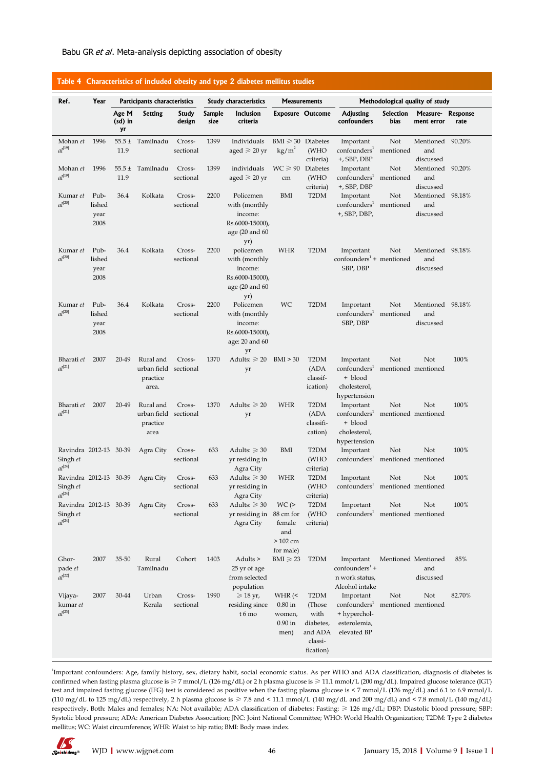| Ref.                                              | Year                           | Participants characteristics |                                               | <b>Study characteristics</b><br><b>Measurements</b> |                |                                                                                              |                                                                   | Methodological quality of study                                        |                                                                                      |                            |                                         |        |
|---------------------------------------------------|--------------------------------|------------------------------|-----------------------------------------------|-----------------------------------------------------|----------------|----------------------------------------------------------------------------------------------|-------------------------------------------------------------------|------------------------------------------------------------------------|--------------------------------------------------------------------------------------|----------------------------|-----------------------------------------|--------|
|                                                   |                                | Age M<br>$(sd)$ in<br>yr     | <b>Setting</b>                                | <b>Study</b><br>design                              | Sample<br>size | Inclusion<br>criteria                                                                        |                                                                   | <b>Exposure Outcome</b>                                                | <b>Adjusting</b><br>confounders                                                      | <b>Selection</b><br>bias   | Measure- Response<br>ment error         | rate   |
| Mohan et<br>$al^{[19]}$                           | 1996                           | $55.5 \pm$<br>11.9           | Tamilnadu                                     | Cross-<br>sectional                                 | 1399           | Individuals<br>aged $\geqslant$ 20 yr                                                        | BMI $\geq 30$ Diabetes<br>$\text{kg/m}^2$                         | (WHO<br>criteria)                                                      | Important<br>confounders <sup>1</sup><br>+, SBP, DBP                                 | Not<br>mentioned           | Mentioned<br>and<br>discussed           | 90.20% |
| Mohan et<br>$al^{[19]}$                           | 1996                           | $55.5 \pm$<br>11.9           | Tamilnadu                                     | Cross-<br>sectional                                 | 1399           | individuals<br>aged $\geq 20$ yr                                                             | $WC \ge 90$<br>cm                                                 | Diabetes<br>(WHO<br>criteria)                                          | Important<br>confounders'<br>+, SBP, DBP                                             | Not<br>mentioned           | Mentioned<br>and<br>discussed           | 90.20% |
| Kumar et<br>$al^{[20]}$                           | Pub-<br>lished<br>year<br>2008 | 36.4                         | Kolkata                                       | Cross-<br>sectional                                 | 2200           | Policemen<br>with (monthly<br>income:<br>Rs.6000-15000),<br>age (20 and 60<br>yr)            | BMI                                                               | T <sub>2</sub> DM                                                      | Important<br>confounders <sup>1</sup><br>+, SBP, DBP,                                | Not<br>mentioned           | Mentioned<br>and<br>discussed           | 98.18% |
| Kumar et<br>$al^{[20]}$                           | Pub-<br>lished<br>year<br>2008 | 36.4                         | Kolkata                                       | Cross-<br>sectional                                 | 2200           | policemen<br>with (monthly<br>income:<br>Rs.6000-15000),<br>age $(20 \text{ and } 60$<br>yr) | WHR                                                               | T2DM                                                                   | Important<br>confounders <sup>1</sup> + mentioned<br>SBP, DBP                        | Not                        | Mentioned 98.18%<br>and<br>discussed    |        |
| Kumar et<br>$al^{[20]}$                           | Pub-<br>lished<br>year<br>2008 | 36.4                         | Kolkata                                       | Cross-<br>sectional                                 | 2200           | Policemen<br>with (monthly<br>income:<br>Rs.6000-15000),<br>age: $20$ and $60$<br>yr         | WC                                                                | T <sub>2</sub> DM                                                      | Important<br>confounders <sup>1</sup><br>SBP, DBP                                    | Not<br>mentioned           | Mentioned 98.18%<br>and<br>discussed    |        |
| Bharati et<br>$a^{[21]}$                          | 2007                           | 20-49                        | Rural and<br>urban field<br>practice<br>area. | Cross-<br>sectional                                 | 1370           | Adults: $\geq 20$<br>yr                                                                      | BMI > 30                                                          | T <sub>2</sub> DM<br>(ADA<br>classif-<br><i>ication</i> )              | Important<br>confounders <sup>1</sup><br>+ blood<br>cholesterol,<br>hypertension     | Not<br>mentioned mentioned | Not                                     | 100%   |
| Bharati et<br>$al^{[21]}$                         | 2007                           | 20-49                        | Rural and<br>urban field<br>practice<br>area  | Cross-<br>sectional                                 | 1370           | Adults: $\geq 20$<br>yr                                                                      | <b>WHR</b>                                                        | T <sub>2</sub> DM<br>(ADA)<br>classifi-<br>cation)                     | Important<br>confounders <sup>1</sup><br>+ blood<br>cholesterol,<br>hypertension     | Not<br>mentioned mentioned | Not                                     | 100%   |
| Ravindra 2012-13 30-39<br>Singh et<br>$al^{[24]}$ |                                |                              | Agra City                                     | Cross-<br>sectional                                 | 633            | Adults: $\geq 30$<br>yr residing in<br>Agra City                                             | BMI                                                               | T2DM<br>(WHO<br>criteria)                                              | Important<br>confounders <sup>1</sup>                                                | Not<br>mentioned mentioned | Not                                     | 100%   |
| Ravindra 2012-13 30-39<br>Singh et<br>$al^{[24]}$ |                                |                              | Agra City                                     | Cross-<br>sectional                                 | 633            | Adults: $\geq 30$<br>yr residing in<br>Agra City                                             | WHR                                                               | T2DM<br>(WHO<br>criteria)                                              | Important<br>confounders <sup>1</sup>                                                | Not<br>mentioned mentioned | Not                                     | 100%   |
| Ravindra 2012-13 30-39<br>Singh et<br>$al^{[24]}$ |                                |                              | Agra City                                     | Cross-<br>sectional                                 | 633            | Adults: $\geq 30$<br>yr residing in<br>Agra City                                             | $WC \geq$<br>88 cm for<br>female<br>and<br>$>102$ cm<br>for male) | T2DM<br>(WHO<br>criteria)                                              | Important<br>confounders <sup>1</sup>                                                | Not<br>mentioned mentioned | Not                                     | 100%   |
| Ghor-<br>pade <i>et</i><br>$al^{[22]}$            | 2007                           | 35-50                        | Rural<br>Tamilnadu                            | Cohort                                              | 1403           | Adults ><br>25 yr of age<br>from selected<br>population                                      | $BMI \geqslant 23$                                                | T <sub>2</sub> DM                                                      | Important<br>confounders <sup>1</sup> +<br>n work status,<br>Alcohol intake          |                            | Mentioned Mentioned<br>and<br>discussed | 85%    |
| Vijaya-<br>kumar et<br>$\it al^{[23]}$            | 2007                           | 30-44                        | Urban<br>Kerala                               | Cross-<br>sectional                                 | 1990           | $\geqslant$ 18 yr,<br>residing since<br>t 6 mo                                               | WHR $($<br>$0.80$ in<br>women,<br>$0.90$ in<br>men)               | T2DM<br>(Those<br>with<br>diabetes,<br>and ADA<br>classi-<br>fication) | Important<br>confounders <sup>1</sup><br>+ hyperchol-<br>esterolemia,<br>elevated BP | Not<br>mentioned mentioned | Not                                     | 82.70% |

<sup>1</sup>Important confounders: Age, family history, sex, dietary habit, social economic status. As per WHO and ADA classification, diagnosis of diabetes is confirmed when fasting plasma glucose is  $\geq 7$  mmol/L (126 mg/dL) or 2 h plasma glucose is  $\geq 11.1$  mmol/L (200 mg/dL). Impaired glucose tolerance (IGT) test and impaired fasting glucose (IFG) test is considered as positive when the fasting plasma glucose is < 7 mmol/L (126 mg/dL) and 6.1 to 6.9 mmol/L (110 mg/dL to 125 mg/dL) respectively, 2 h plasma glucose is  $\geq 7.8$  and < 11.1 mmol/L (140 mg/dL and 200 mg/dL) and < 7.8 mmol/L (140 mg/dL) respectively. Both: Males and females; NA: Not available; ADA classification of diabetes: Fasting: ≥ 126 mg/dL; DBP: Diastolic blood pressure; SBP: Systolic blood pressure; ADA: American Diabetes Association; JNC: Joint National Committee; WHO: World Health Organization; T2DM: Type 2 diabetes mellitus; WC: Waist circumference; WHR: Waist to hip ratio; BMI: Body mass index.

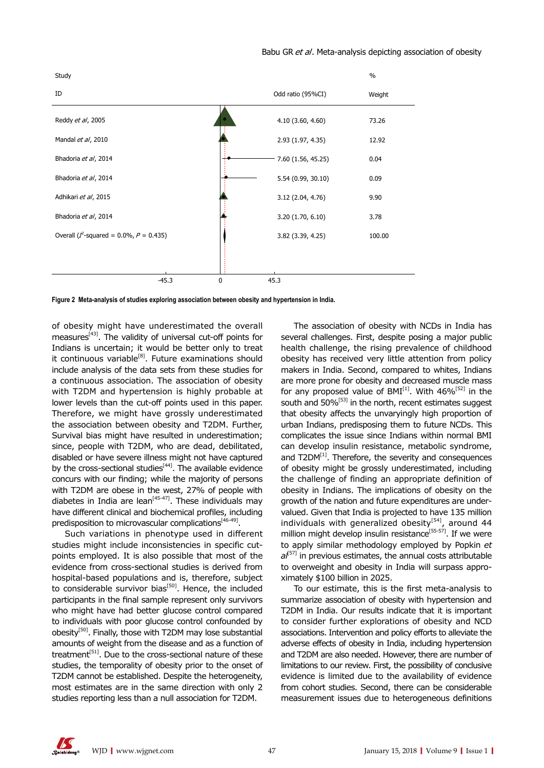



of obesity might have underestimated the overall measures<sup>[43]</sup>. The validity of universal cut-off points for Indians is uncertain; it would be better only to treat it continuous variable $[8]$ . Future examinations should include analysis of the data sets from these studies for a continuous association. The association of obesity with T2DM and hypertension is highly probable at lower levels than the cut-off points used in this paper. Therefore, we might have grossly underestimated the association between obesity and T2DM. Further, Survival bias might have resulted in underestimation; since, people with T2DM, who are dead, debilitated, disabled or have severe illness might not have captured by the cross-sectional studies $[44]$ . The available evidence concurs with our finding; while the majority of persons with T2DM are obese in the west, 27% of people with diabetes in India are lean<sup>[45-47]</sup>. These individuals may have different clinical and biochemical profiles, including predisposition to microvascular complications<sup>[46-49]</sup>.

Such variations in phenotype used in different studies might include inconsistencies in specific cutpoints employed. It is also possible that most of the evidence from cross-sectional studies is derived from hospital-based populations and is, therefore, subject to considerable survivor bias<sup>[50]</sup>. Hence, the included participants in the final sample represent only survivors who might have had better glucose control compared to individuals with poor glucose control confounded by obesity<sup>[50]</sup>. Finally, those with T2DM may lose substantial amounts of weight from the disease and as a function of treatment<sup>[51]</sup>. Due to the cross-sectional nature of these studies, the temporality of obesity prior to the onset of T2DM cannot be established. Despite the heterogeneity, most estimates are in the same direction with only 2 studies reporting less than a null association for T2DM.

The association of obesity with NCDs in India has several challenges. First, despite posing a major public health challenge, the rising prevalence of childhood obesity has received very little attention from policy makers in India. Second, compared to whites, Indians are more prone for obesity and decreased muscle mass for any proposed value of  $BMI^{[1]}$ . With  $46\%^{[52]}$  in the south and 50%<sup>[53]</sup> in the north, recent estimates suggest that obesity affects the unvaryingly high proportion of urban Indians, predisposing them to future NCDs. This complicates the issue since Indians within normal BMI can develop insulin resistance, metabolic syndrome, and  $T2DM^{[1]}$ . Therefore, the severity and consequences of obesity might be grossly underestimated, including the challenge of finding an appropriate definition of obesity in Indians. The implications of obesity on the growth of the nation and future expenditures are undervalued. Given that India is projected to have 135 million individuals with generalized obesity $[54]$ , around 44 million might develop insulin resistance<sup>[55-57]</sup>. If we were to apply similar methodology employed by Popkin *et*   $a^{[57]}$  in previous estimates, the annual costs attributable to overweight and obesity in India will surpass approximately \$100 billion in 2025.

To our estimate, this is the first meta-analysis to summarize association of obesity with hypertension and T2DM in India. Our results indicate that it is important to consider further explorations of obesity and NCD associations. Intervention and policy efforts to alleviate the adverse effects of obesity in India, including hypertension and T2DM are also needed. However, there are number of limitations to our review. First, the possibility of conclusive evidence is limited due to the availability of evidence from cohort studies. Second, there can be considerable measurement issues due to heterogeneous definitions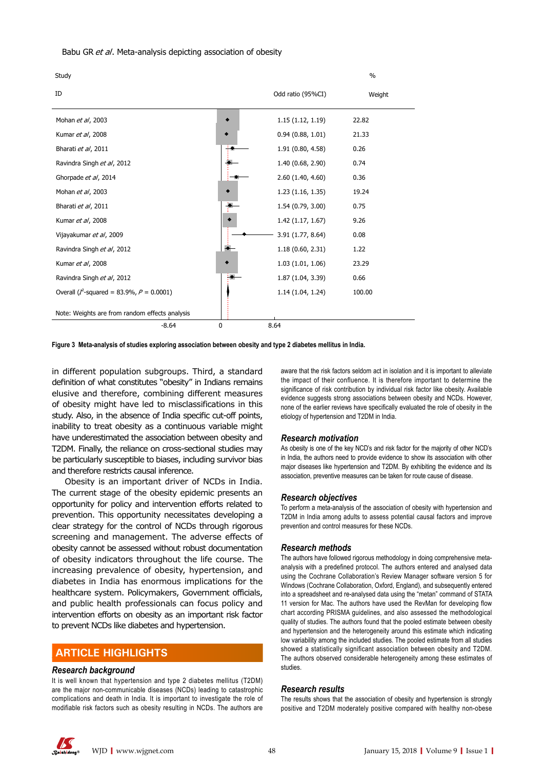| Study                                                                                              |   |                   | $\frac{0}{0}$ |
|----------------------------------------------------------------------------------------------------|---|-------------------|---------------|
| ID                                                                                                 |   | Odd ratio (95%CI) | Weight        |
| Mohan et al, 2003                                                                                  |   | 1.15(1.12, 1.19)  | 22.82         |
| Kumar et al, 2008                                                                                  |   | 0.94(0.88, 1.01)  | 21.33         |
| Bharati et al, 2011                                                                                |   | 1.91 (0.80, 4.58) | 0.26          |
| Ravindra Singh et al, 2012                                                                         |   | 1.40 (0.68, 2.90) | 0.74          |
| Ghorpade et al, 2014                                                                               |   | 2.60 (1.40, 4.60) | 0.36          |
| Mohan et al, 2003                                                                                  |   | 1.23(1.16, 1.35)  | 19.24         |
| Bharati et al, 2011                                                                                |   | 1.54 (0.79, 3.00) | 0.75          |
| Kumar et al, 2008                                                                                  |   | 1.42(1.17, 1.67)  | 9.26          |
| Vijayakumar et al, 2009                                                                            |   | 3.91 (1.77, 8.64) | 0.08          |
| Ravindra Singh et al, 2012                                                                         |   | 1.18(0.60, 2.31)  | 1.22          |
| Kumar et al, 2008                                                                                  |   | 1.03(1.01, 1.06)  | 23.29         |
| Ravindra Singh et al, 2012                                                                         |   | 1.87 (1.04, 3.39) | 0.66          |
| Overall ( $I^2$ -squared = 83.9%, $P = 0.0001$ )<br>Note: Weights are from random effects analysis |   | 1.14(1.04, 1.24)  | 100.00        |
| $-8.64$                                                                                            | 0 | 8.64              |               |
|                                                                                                    |   |                   |               |

**Figure 3 Meta-analysis of studies exploring association between obesity and type 2 diabetes mellitus in India.**

in different population subgroups. Third, a standard definition of what constitutes "obesity" in Indians remains elusive and therefore, combining different measures of obesity might have led to misclassifications in this study. Also, in the absence of India specific cut-off points, inability to treat obesity as a continuous variable might have underestimated the association between obesity and T2DM. Finally, the reliance on cross-sectional studies may be particularly susceptible to biases, including survivor bias and therefore restricts causal inference.

Obesity is an important driver of NCDs in India. The current stage of the obesity epidemic presents an opportunity for policy and intervention efforts related to prevention. This opportunity necessitates developing a clear strategy for the control of NCDs through rigorous screening and management. The adverse effects of obesity cannot be assessed without robust documentation of obesity indicators throughout the life course. The increasing prevalence of obesity, hypertension, and diabetes in India has enormous implications for the healthcare system. Policymakers, Government officials, and public health professionals can focus policy and intervention efforts on obesity as an important risk factor to prevent NCDs like diabetes and hypertension.

# **ARTICLE HIGHLIGHTS ARTICLE HIGHLIGHTS**

#### *Research background*

It is well known that hypertension and type 2 diabetes mellitus (T2DM) are the major non-communicable diseases (NCDs) leading to catastrophic complications and death in India. It is important to investigate the role of modifiable risk factors such as obesity resulting in NCDs. The authors are

aware that the risk factors seldom act in isolation and it is important to alleviate the impact of their confluence. It is therefore important to determine the significance of risk contribution by individual risk factor like obesity. Available evidence suggests strong associations between obesity and NCDs. However, none of the earlier reviews have specifically evaluated the role of obesity in the etiology of hypertension and T2DM in India.

#### *Research motivation*

As obesity is one of the key NCD's and risk factor for the majority of other NCD's in India, the authors need to provide evidence to show its association with other major diseases like hypertension and T2DM. By exhibiting the evidence and its association, preventive measures can be taken for route cause of disease.

#### *Research objectives*

To perform a meta-analysis of the association of obesity with hypertension and T2DM in India among adults to assess potential causal factors and improve prevention and control measures for these NCDs.

#### *Research methods*

The authors have followed rigorous methodology in doing comprehensive metaanalysis with a predefined protocol. The authors entered and analysed data using the Cochrane Collaboration's Review Manager software version 5 for Windows (Cochrane Collaboration, Oxford, England), and subsequently entered into a spreadsheet and re-analysed data using the "metan" command of STATA 11 version for Mac. The authors have used the RevMan for developing flow chart according PRISMA guidelines, and also assessed the methodological quality of studies. The authors found that the pooled estimate between obesity and hypertension and the heterogeneity around this estimate which indicating low variability among the included studies. The pooled estimate from all studies showed a statistically significant association between obesity and T2DM. The authors observed considerable heterogeneity among these estimates of studies.

#### *Research results*

The results shows that the association of obesity and hypertension is strongly positive and T2DM moderately positive compared with healthy non-obese

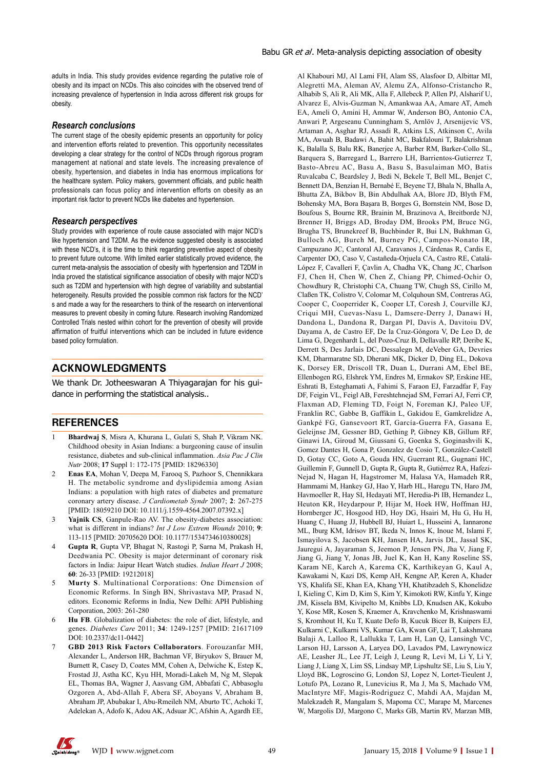adults in India. This study provides evidence regarding the putative role of obesity and its impact on NCDs. This also coincides with the observed trend of increasing prevalence of hypertension in India across different risk groups for obesity.

#### *Research conclusions*

The current stage of the obesity epidemic presents an opportunity for policy and intervention efforts related to prevention. This opportunity necessitates developing a clear strategy for the control of NCDs through rigorous program management at national and state levels. The increasing prevalence of obesity, hypertension, and diabetes in India has enormous implications for the healthcare system. Policy makers, government officials, and public health professionals can focus policy and intervention efforts on obesity as an important risk factor to prevent NCDs like diabetes and hypertension.

#### *Research perspectives*

Study provides with experience of route cause associated with major NCD's like hypertension and T2DM. As the evidence suggested obesity is associated with these NCD's, it is the time to think regarding preventive aspect of obesity to prevent future outcome. With limited earlier statistically proved evidence, the current meta-analysis the association of obesity with hypertension and T2DM in India proved the statistical significance association of obesity with major NCD's such as T2DM and hypertension with high degree of variability and substantial heterogeneity. Results provided the possible common risk factors for the NCD' s and made a way for the researchers to think of the research on interventional measures to prevent obesity in coming future. Research involving Randomized Controlled Trials nested within cohort for the prevention of obesity will provide affirmation of fruitful interventions which can be included in future evidence based policy formulation.

### **ACKNOWLEDGMENTS**

We thank Dr. Jotheeswaran A Thiyagarajan for his guidance in performing the statistical analysis..

### **REFERENCES**

- 1 **Bhardwaj S**, Misra A, Khurana L, Gulati S, Shah P, Vikram NK. Childhood obesity in Asian Indians: a burgeoning cause of insulin resistance, diabetes and sub-clinical inflammation. *Asia Pac J Clin Nutr* 2008; **17** Suppl 1: 172-175 [PMID: 18296330]
- 2 **Enas EA**, Mohan V, Deepa M, Farooq S, Pazhoor S, Chennikkara H. The metabolic syndrome and dyslipidemia among Asian Indians: a population with high rates of diabetes and premature coronary artery disease. *J Cardiometab Syndr* 2007; **2**: 267-275 [PMID: 18059210 DOI: 10.1111/j.1559-4564.2007.07392.x]
- Yajnik CS, Ganpule-Rao AV. The obesity-diabetes association: what is different in indians? *Int J Low Extrem Wounds* 2010; **9**: 113-115 [PMID: 20705620 DOI: 10.1177/1534734610380028]
- 4 **Gupta R**, Gupta VP, Bhagat N, Rastogi P, Sarna M, Prakash H, Deedwania PC. Obesity is major determinant of coronary risk factors in India: Jaipur Heart Watch studies. *Indian Heart J* 2008; **60**: 26-33 [PMID: 19212018]
- 5 **Murty S**. Multinational Corporations: One Dimension of Economic Reforms. In Singh BN, Shrivastava MP, Prasad N, editors. Economic Reforms in India, New Delhi: APH Publishing Corporation, 2003: 261-280
- 6 **Hu FB**. Globalization of diabetes: the role of diet, lifestyle, and genes. *Diabetes Care* 2011; **34**: 1249-1257 [PMID: 21617109 DOI: 10.2337/dc11-0442]
- 7 **GBD 2013 Risk Factors Collaborators**. Forouzanfar MH, Alexander L, Anderson HR, Bachman VF, Biryukov S, Brauer M, Burnett R, Casey D, Coates MM, Cohen A, Delwiche K, Estep K, Frostad JJ, Astha KC, Kyu HH, Moradi-Lakeh M, Ng M, Slepak EL, Thomas BA, Wagner J, Aasvang GM, Abbafati C, Abbasoglu Ozgoren A, Abd-Allah F, Abera SF, Aboyans V, Abraham B, Abraham JP, Abubakar I, Abu-Rmeileh NM, Aburto TC, Achoki T, Adelekan A, Adofo K, Adou AK, Adsuar JC, Afshin A, Agardh EE,

Al Khabouri MJ, Al Lami FH, Alam SS, Alasfoor D, Albittar MI, Alegretti MA, Aleman AV, Alemu ZA, Alfonso-Cristancho R, Alhabib S, Ali R, Ali MK, Alla F, Allebeck P, Allen PJ, Alsharif U, Alvarez E, Alvis-Guzman N, Amankwaa AA, Amare AT, Ameh EA, Ameli O, Amini H, Ammar W, Anderson BO, Antonio CA, Anwari P, Argeseanu Cunningham S, Arnlöv J, Arsenijevic VS, Artaman A, Asghar RJ, Assadi R, Atkins LS, Atkinson C, Avila MA, Awuah B, Badawi A, Bahit MC, Bakfalouni T, Balakrishnan K, Balalla S, Balu RK, Banerjee A, Barber RM, Barker-Collo SL, Barquera S, Barregard L, Barrero LH, Barrientos-Gutierrez T, Basto-Abreu AC, Basu A, Basu S, Basulaiman MO, Batis Ruvalcaba C, Beardsley J, Bedi N, Bekele T, Bell ML, Benjet C, Bennett DA, Benzian H, Bernabé E, Beyene TJ, Bhala N, Bhalla A, Bhutta ZA, Bikbov B, Bin Abdulhak AA, Blore JD, Blyth FM, Bohensky MA, Bora Başara B, Borges G, Bornstein NM, Bose D, Boufous S, Bourne RR, Brainin M, Brazinova A, Breitborde NJ, Brenner H, Briggs AD, Broday DM, Brooks PM, Bruce NG, Brugha TS, Brunekreef B, Buchbinder R, Bui LN, Bukhman G, Bulloch AG, Burch M, Burney PG, Campos-Nonato IR, Campuzano JC, Cantoral AJ, Caravanos J, Cárdenas R, Cardis E, Carpenter DO, Caso V, Castañeda-Orjuela CA, Castro RE, Catalá-López F, Cavalleri F, Çavlin A, Chadha VK, Chang JC, Charlson FJ, Chen H, Chen W, Chen Z, Chiang PP, Chimed-Ochir O, Chowdhury R, Christophi CA, Chuang TW, Chugh SS, Cirillo M, Claßen TK, Colistro V, Colomar M, Colquhoun SM, Contreras AG, Cooper C, Cooperrider K, Cooper LT, Coresh J, Courville KJ, Criqui MH, Cuevas-Nasu L, Damsere-Derry J, Danawi H, Dandona L, Dandona R, Dargan PI, Davis A, Davitoiu DV, Dayama A, de Castro EF, De la Cruz-Góngora V, De Leo D, de Lima G, Degenhardt L, del Pozo-Cruz B, Dellavalle RP, Deribe K, Derrett S, Des Jarlais DC, Dessalegn M, deVeber GA, Devries KM, Dharmaratne SD, Dherani MK, Dicker D, Ding EL, Dokova K, Dorsey ER, Driscoll TR, Duan L, Durrani AM, Ebel BE, Ellenbogen RG, Elshrek YM, Endres M, Ermakov SP, Erskine HE, Eshrati B, Esteghamati A, Fahimi S, Faraon EJ, Farzadfar F, Fay DF, Feigin VL, Feigl AB, Fereshtehnejad SM, Ferrari AJ, Ferri CP, Flaxman AD, Fleming TD, Foigt N, Foreman KJ, Paleo UF, Franklin RC, Gabbe B, Gaffikin L, Gakidou E, Gamkrelidze A, Gankpé FG, Gansevoort RT, García-Guerra FA, Gasana E, Geleijnse JM, Gessner BD, Gething P, Gibney KB, Gillum RF, Ginawi IA, Giroud M, Giussani G, Goenka S, Goginashvili K, Gomez Dantes H, Gona P, Gonzalez de Cosio T, González-Castell D, Gotay CC, Goto A, Gouda HN, Guerrant RL, Gugnani HC, Guillemin F, Gunnell D, Gupta R, Gupta R, Gutiérrez RA, Hafezi-Nejad N, Hagan H, Hagstromer M, Halasa YA, Hamadeh RR, Hammami M, Hankey GJ, Hao Y, Harb HL, Haregu TN, Haro JM, Havmoeller R, Hay SI, Hedayati MT, Heredia-Pi IB, Hernandez L, Heuton KR, Heydarpour P, Hijar M, Hoek HW, Hoffman HJ, Hornberger JC, Hosgood HD, Hoy DG, Hsairi M, Hu G, Hu H, Huang C, Huang JJ, Hubbell BJ, Huiart L, Husseini A, Iannarone ML, Iburg KM, Idrisov BT, Ikeda N, Innos K, Inoue M, Islami F, Ismayilova S, Jacobsen KH, Jansen HA, Jarvis DL, Jassal SK, Jauregui A, Jayaraman S, Jeemon P, Jensen PN, Jha V, Jiang F, Jiang G, Jiang Y, Jonas JB, Juel K, Kan H, Kany Roseline SS, Karam NE, Karch A, Karema CK, Karthikeyan G, Kaul A, Kawakami N, Kazi DS, Kemp AH, Kengne AP, Keren A, Khader YS, Khalifa SE, Khan EA, Khang YH, Khatibzadeh S, Khonelidze I, Kieling C, Kim D, Kim S, Kim Y, Kimokoti RW, Kinfu Y, Kinge JM, Kissela BM, Kivipelto M, Knibbs LD, Knudsen AK, Kokubo Y, Kose MR, Kosen S, Kraemer A, Kravchenko M, Krishnaswami S, Kromhout H, Ku T, Kuate Defo B, Kucuk Bicer B, Kuipers EJ, Kulkarni C, Kulkarni VS, Kumar GA, Kwan GF, Lai T, Lakshmana Balaji A, Lalloo R, Lallukka T, Lam H, Lan Q, Lansingh VC, Larson HJ, Larsson A, Laryea DO, Lavados PM, Lawrynowicz AE, Leasher JL, Lee JT, Leigh J, Leung R, Levi M, Li Y, Li Y, Liang J, Liang X, Lim SS, Lindsay MP, Lipshultz SE, Liu S, Liu Y, Lloyd BK, Logroscino G, London SJ, Lopez N, Lortet-Tieulent J, Lotufo PA, Lozano R, Lunevicius R, Ma J, Ma S, Machado VM, MacIntyre MF, Magis-Rodriguez C, Mahdi AA, Majdan M, Malekzadeh R, Mangalam S, Mapoma CC, Marape M, Marcenes W, Margolis DJ, Margono C, Marks GB, Martin RV, Marzan MB,

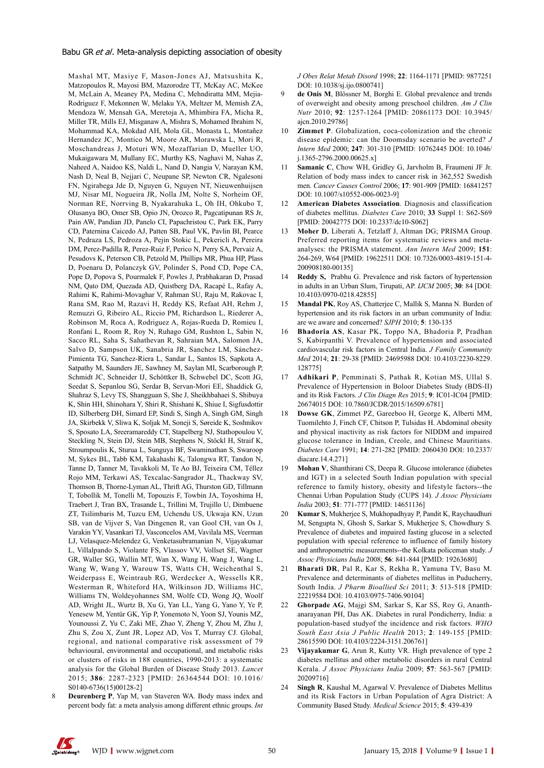Mashal MT, Masiye F, Mason-Jones AJ, Matsushita K, Matzopoulos R, Mayosi BM, Mazorodze TT, McKay AC, McKee M, McLain A, Meaney PA, Medina C, Mehndiratta MM, Mejia-Rodriguez F, Mekonnen W, Melaku YA, Meltzer M, Memish ZA, Mendoza W, Mensah GA, Meretoja A, Mhimbira FA, Micha R, Miller TR, Mills EJ, Misganaw A, Mishra S, Mohamed Ibrahim N, Mohammad KA, Mokdad AH, Mola GL, Monasta L, Montañez Hernandez JC, Montico M, Moore AR, Morawska L, Mori R, Moschandreas J, Moturi WN, Mozaffarian D, Mueller UO, Mukaigawara M, Mullany EC, Murthy KS, Naghavi M, Nahas Z, Naheed A, Naidoo KS, Naldi L, Nand D, Nangia V, Narayan KM, Nash D, Neal B, Nejjari C, Neupane SP, Newton CR, Ngalesoni FN, Ngirabega Jde D, Nguyen G, Nguyen NT, Nieuwenhuijsen MJ, Nisar MI, Nogueira JR, Nolla JM, Nolte S, Norheim OF, Norman RE, Norrving B, Nyakarahuka L, Oh IH, Ohkubo T, Olusanya BO, Omer SB, Opio JN, Orozco R, Pagcatipunan RS Jr, Pain AW, Pandian JD, Panelo CI, Papachristou C, Park EK, Parry CD, Paternina Caicedo AJ, Patten SB, Paul VK, Pavlin BI, Pearce N, Pedraza LS, Pedroza A, Pejin Stokic L, Pekericli A, Pereira DM, Perez-Padilla R, Perez-Ruiz F, Perico N, Perry SA, Pervaiz A, Pesudovs K, Peterson CB, Petzold M, Phillips MR, Phua HP, Plass D, Poenaru D, Polanczyk GV, Polinder S, Pond CD, Pope CA, Pope D, Popova S, Pourmalek F, Powles J, Prabhakaran D, Prasad NM, Qato DM, Quezada AD, Quistberg DA, Racapé L, Rafay A, Rahimi K, Rahimi-Movaghar V, Rahman SU, Raju M, Rakovac I, Rana SM, Rao M, Razavi H, Reddy KS, Refaat AH, Rehm J, Remuzzi G, Ribeiro AL, Riccio PM, Richardson L, Riederer A, Robinson M, Roca A, Rodriguez A, Rojas-Rueda D, Romieu I, Ronfani L, Room R, Roy N, Ruhago GM, Rushton L, Sabin N, Sacco RL, Saha S, Sahathevan R, Sahraian MA, Salomon JA, Salvo D, Sampson UK, Sanabria JR, Sanchez LM, Sánchez-Pimienta TG, Sanchez-Riera L, Sandar L, Santos IS, Sapkota A, Satpathy M, Saunders JE, Sawhney M, Saylan MI, Scarborough P, Schmidt JC, Schneider IJ, Schöttker B, Schwebel DC, Scott JG, Seedat S, Sepanlou SG, Serdar B, Servan-Mori EE, Shaddick G, Shahraz S, Levy TS, Shangguan S, She J, Sheikhbahaei S, Shibuya K, Shin HH, Shinohara Y, Shiri R, Shishani K, Shiue I, Sigfusdottir ID, Silberberg DH, Simard EP, Sindi S, Singh A, Singh GM, Singh JA, Skirbekk V, Sliwa K, Soljak M, Soneji S, Søreide K, Soshnikov S, Sposato LA, Sreeramareddy CT, Stapelberg NJ, Stathopoulou V, Steckling N, Stein DJ, Stein MB, Stephens N, Stöckl H, Straif K, Stroumpoulis K, Sturua L, Sunguya BF, Swaminathan S, Swaroop M, Sykes BL, Tabb KM, Takahashi K, Talongwa RT, Tandon N, Tanne D, Tanner M, Tavakkoli M, Te Ao BJ, Teixeira CM, Téllez Rojo MM, Terkawi AS, Texcalac-Sangrador JL, Thackway SV, Thomson B, Thorne-Lyman AL, Thrift AG, Thurston GD, Tillmann T, Tobollik M, Tonelli M, Topouzis F, Towbin JA, Toyoshima H, Traebert J, Tran BX, Trasande L, Trillini M, Trujillo U, Dimbuene ZT, Tsilimbaris M, Tuzcu EM, Uchendu US, Ukwaja KN, Uzun SB, van de Vijver S, Van Dingenen R, van Gool CH, van Os J, Varakin YY, Vasankari TJ, Vasconcelos AM, Vavilala MS, Veerman LJ, Velasquez-Melendez G, Venketasubramanian N, Vijayakumar L, Villalpando S, Violante FS, Vlassov VV, Vollset SE, Wagner GR, Waller SG, Wallin MT, Wan X, Wang H, Wang J, Wang L, Wang W, Wang Y, Warouw TS, Watts CH, Weichenthal S, Weiderpass E, Weintraub RG, Werdecker A, Wessells KR, Westerman R, Whiteford HA, Wilkinson JD, Williams HC, Williams TN, Woldeyohannes SM, Wolfe CD, Wong JQ, Woolf AD, Wright JL, Wurtz B, Xu G, Yan LL, Yang G, Yano Y, Ye P, Yenesew M, Yentür GK, Yip P, Yonemoto N, Yoon SJ, Younis MZ, Younoussi Z, Yu C, Zaki ME, Zhao Y, Zheng Y, Zhou M, Zhu J, Zhu S, Zou X, Zunt JR, Lopez AD, Vos T, Murray CJ. Global, regional, and national comparative risk assessment of 79 behavioural, environmental and occupational, and metabolic risks or clusters of risks in 188 countries, 1990-2013: a systematic analysis for the Global Burden of Disease Study 2013. *Lancet* 2015; **386**: 2287-2323 [PMID: 26364544 DOI: 10.1016/ S0140-6736(15)00128-2]

8 **Deurenberg P**, Yap M, van Staveren WA. Body mass index and percent body fat: a meta analysis among different ethnic groups. *Int* 

*J Obes Relat Metab Disord* 1998; **22**: 1164-1171 [PMID: 9877251 DOI: 10.1038/sj.ijo.0800741]

- 9 **de Onis M**, Blössner M, Borghi E. Global prevalence and trends of overweight and obesity among preschool children. *Am J Clin Nutr* 2010; **92**: 1257-1264 [PMID: 20861173 DOI: 10.3945/ ajcn.2010.29786]
- 10 **Zimmet P**. Globalization, coca-colonization and the chronic disease epidemic: can the Doomsday scenario be averted? *J Intern Med* 2000; **247**: 301-310 [PMID: 10762445 DOI: 10.1046/ j.1365-2796.2000.00625.x]
- Samanic C, Chow WH, Gridley G, Jarvholm B, Fraumeni JF Jr. Relation of body mass index to cancer risk in 362,552 Swedish men. *Cancer Causes Control* 2006; **17**: 901-909 [PMID: 16841257 DOI: 10.1007/s10552-006-0023-9]
- 12 **American Diabetes Association**. Diagnosis and classification of diabetes mellitus. *Diabetes Care* 2010; **33** Suppl 1: S62-S69 [PMID: 20042775 DOI: 10.2337/dc10-S062]
- 13 **Moher D**, Liberati A, Tetzlaff J, Altman DG; PRISMA Group. Preferred reporting items for systematic reviews and metaanalyses: the PRISMA statement. *Ann Intern Med* 2009; **151**: 264-269, W64 [PMID: 19622511 DOI: 10.7326/0003-4819-151-4- 200908180-00135]
- 14 **Reddy S,** Prabhu G. Prevalence and risk factors of hypertension in adults in an Urban Slum, Tirupati, AP. *IJCM* 2005; **30**: 84 [DOI: 10.4103/0970-0218.42855]
- Mandal PK, Roy AS, Chatterjee C, Mallik S, Manna N. Burden of hypertension and its risk factors in an urban community of India: are we aware and concerned? *SJPH* 2010; **5**: 130-135
- 16 **Bhadoria AS**, Kasar PK, Toppo NA, Bhadoria P, Pradhan S, Kabirpanthi V. Prevalence of hypertension and associated cardiovascular risk factors in Central India. *J Family Community Med* 2014; **21**: 29-38 [PMID: 24695988 DOI: 10.4103/2230-8229. 128775]
- 17 **Adhikari P**, Pemminati S, Pathak R, Kotian MS, Ullal S. Prevalence of Hypertension in Boloor Diabetes Study (BDS-II) and its Risk Factors. *J Clin Diagn Res* 2015; **9**: IC01-IC04 [PMID: 26674015 DOI: 10.7860/JCDR/2015/16509.6781]
- 18 **Dowse GK**, Zimmet PZ, Gareeboo H, George K, Alberti MM, Tuomilehto J, Finch CF, Chitson P, Tulsidas H. Abdominal obesity and physical inactivity as risk factors for NIDDM and impaired glucose tolerance in Indian, Creole, and Chinese Mauritians. *Diabetes Care* 1991; **14**: 271-282 [PMID: 2060430 DOI: 10.2337/ diacare.14.4.271]
- 19 **Mohan V**, Shanthirani CS, Deepa R. Glucose intolerance (diabetes and IGT) in a selected South Indian population with special reference to family history, obesity and lifestyle factors--the Chennai Urban Population Study (CUPS 14). *J Assoc Physicians India* 2003; **51**: 771-777 [PMID: 14651136]
- 20 **Kumar S**, Mukherjee S, Mukhopadhyay P, Pandit K, Raychaudhuri M, Sengupta N, Ghosh S, Sarkar S, Mukherjee S, Chowdhury S. Prevalence of diabetes and impaired fasting glucose in a selected population with special reference to influence of family history and anthropometric measurements--the Kolkata policeman study. *J Assoc Physicians India* 2008; **56**: 841-844 [PMID: 19263680]
- 21 **Bharati DR**, Pal R, Kar S, Rekha R, Yamuna TV, Basu M. Prevalence and determinants of diabetes mellitus in Puducherry, South India. *J Pharm Bioallied Sci* 2011; **3**: 513-518 [PMID: 22219584 DOI: 10.4103/0975-7406.90104]
- 22 **Ghorpade AG**, Majgi SM, Sarkar S, Kar SS, Roy G, Ananthanarayanan PH, Das AK. Diabetes in rural Pondicherry, India: a population-based studyof the incidence and risk factors. *WHO South East Asia J Public Health* 2013; **2**: 149-155 [PMID: 28615590 DOI: 10.4103/2224-3151.206761]
- 23 **Vijayakumar G**, Arun R, Kutty VR. High prevalence of type 2 diabetes mellitus and other metabolic disorders in rural Central Kerala. *J Assoc Physicians India* 2009; **57**: 563-567 [PMID: 20209716]
- 24 **Singh R**, Kaushal M, Agarwal V. Prevalence of Diabetes Mellitus and its Risk Factors in Urban Population of Agra District: A Community Based Study. *Medical Science* 2015; **5**: 439-439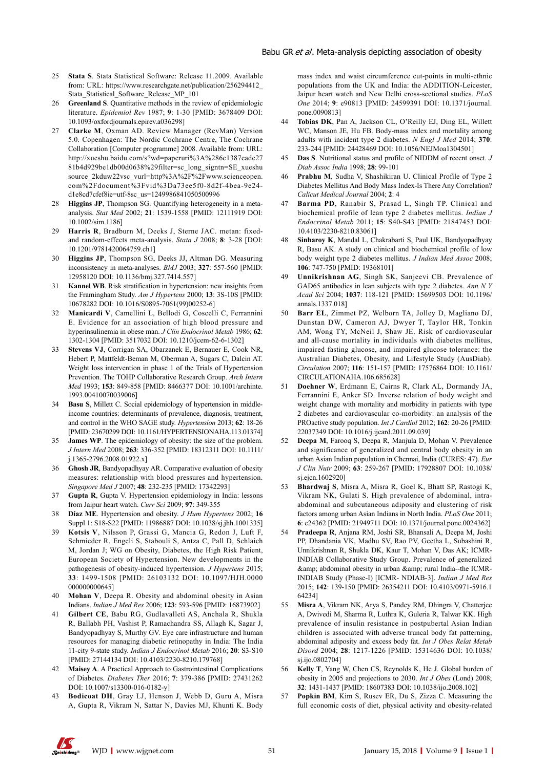- 25 **Stata S**. Stata Statistical Software: Release 11.2009. Available from: URL: https://www.researchgate.net/publication/256294412\_ Stata\_Statistical\_Software\_Release\_MP\_101
- 26 **Greenland S**. Quantitative methods in the review of epidemiologic literature. *Epidemiol Rev* 1987; **9**: 1-30 [PMID: 3678409 DOI: 10.1093/oxfordjournals.epirev.a036298]
- 27 **Clarke M**, Oxman AD. Review Manager (RevMan) Version 5.0. Copenhagen: The Nordic Cochrane Centre, The Cochrane Collaboration [Computer programme] 2008. Available from: URL: http://xueshu.baidu.com/s?wd=paperuri%3A%286c1387eadc27 81b4d929be1db00d0638%29filter=sc\_long\_signtn=SE\_xueshu source\_2kduw22vsc\_vurl=http%3A%2F%2Fwww.scienceopen. com%2Fdocument%3Fvid%3Da73ee5f0-8d2f-4bea-9e24 d1e8cd7cfef8ie=utf-8sc\_us=1249986841050500996
- 28 **Higgins JP**, Thompson SG. Quantifying heterogeneity in a metaanalysis. *Stat Med* 2002; **21**: 1539-1558 [PMID: 12111919 DOI: 10.1002/sim.1186]
- 29 **Harris R**, Bradburn M, Deeks J, Sterne JAC. metan: fixedand random-effects meta-analysis. *Stata J* 2008; **8**: 3-28 [DOI: 10.1201/9781420064759.ch1]
- 30 **Higgins JP**, Thompson SG, Deeks JJ, Altman DG. Measuring inconsistency in meta-analyses. *BMJ* 2003; **327**: 557-560 [PMID: 12958120 DOI: 10.1136/bmj.327.7414.557]
- 31 **Kannel WB**. Risk stratification in hypertension: new insights from the Framingham Study. *Am J Hypertens* 2000; **13**: 3S-10S [PMID: 10678282 DOI: 10.1016/S0895-7061(99)00252-6]
- 32 **Manicardi V**, Camellini L, Bellodi G, Coscelli C, Ferrannini E. Evidence for an association of high blood pressure and hyperinsulinemia in obese man. *J Clin Endocrinol Metab* 1986; **62**: 1302-1304 [PMID: 3517032 DOI: 10.1210/jcem-62-6-1302]
- 33 **Stevens VJ**, Corrigan SA, Obarzanek E, Bernauer E, Cook NR, Hebert P, Mattfeldt-Beman M, Oberman A, Sugars C, Dalcin AT. Weight loss intervention in phase 1 of the Trials of Hypertension Prevention. The TOHP Collaborative Research Group. *Arch Intern Med* 1993; **153**: 849-858 [PMID: 8466377 DOI: 10.1001/archinte. 1993.00410070039006]
- 34 **Basu S**, Millett C. Social epidemiology of hypertension in middleincome countries: determinants of prevalence, diagnosis, treatment, and control in the WHO SAGE study. *Hypertension* 2013; **62**: 18-26 [PMID: 23670299 DOI: 10.1161/HYPERTENSIONAHA.113.01374]
- 35 **James WP**. The epidemiology of obesity: the size of the problem. *J Intern Med* 2008; **263**: 336-352 [PMID: 18312311 DOI: 10.1111/ j.1365-2796.2008.01922.x]
- 36 **Ghosh JR**, Bandyopadhyay AR. Comparative evaluation of obesity measures: relationship with blood pressures and hypertension. *Singapore Med J* 2007; **48**: 232-235 [PMID: 17342293]
- 37 **Gupta R**, Gupta V. Hypertension epidemiology in India: lessons from Jaipur heart watch. *Curr Sci* 2009; **97**: 349-355
- 38 **Díaz ME**. Hypertension and obesity. *J Hum Hypertens* 2002; **16**  Suppl 1: S18-S22 [PMID: 11986887 DOI: 10.1038/sj.jhh.1001335]
- 39 **Kotsis V**, Nilsson P, Grassi G, Mancia G, Redon J, Luft F, Schmieder R, Engeli S, Stabouli S, Antza C, Pall D, Schlaich M, Jordan J; WG on Obesity, Diabetes, the High Risk Patient, European Society of Hypertension. New developments in the pathogenesis of obesity-induced hypertension. *J Hypertens* 2015; **33**: 1499-1508 [PMID: 26103132 DOI: 10.1097/HJH.0000 000000000645]
- 40 **Mohan V**, Deepa R. Obesity and abdominal obesity in Asian Indians. *Indian J Med Res* 2006; **123**: 593-596 [PMID: 16873902]
- 41 **Gilbert CE**, Babu RG, Gudlavalleti AS, Anchala R, Shukla R, Ballabh PH, Vashist P, Ramachandra SS, Allagh K, Sagar J, Bandyopadhyay S, Murthy GV. Eye care infrastructure and human resources for managing diabetic retinopathy in India: The India 11-city 9-state study. *Indian J Endocrinol Metab* 2016; **20**: S3-S10 [PMID: 27144134 DOI: 10.4103/2230-8210.179768]
- 42 **Maisey A**. A Practical Approach to Gastrointestinal Complications of Diabetes. *Diabetes Ther* 2016; **7**: 379-386 [PMID: 27431262 DOI: 10.1007/s13300-016-0182-y]
- 43 **Bodicoat DH**, Gray LJ, Henson J, Webb D, Guru A, Misra A, Gupta R, Vikram N, Sattar N, Davies MJ, Khunti K. Body

mass index and waist circumference cut-points in multi-ethnic populations from the UK and India: the ADDITION-Leicester, Jaipur heart watch and New Delhi cross-sectional studies. *PLoS One* 2014; **9**: e90813 [PMID: 24599391 DOI: 10.1371/journal. pone.0090813]

- 44 **Tobias DK**, Pan A, Jackson CL, O'Reilly EJ, Ding EL, Willett WC, Manson JE, Hu FB. Body-mass index and mortality among adults with incident type 2 diabetes. *N Engl J Med* 2014; **370**: 233-244 [PMID: 24428469 DOI: 10.1056/NEJMoa1304501]
- 45 **Das S**. Nutritional status and profile of NIDDM of recent onset. *J Diab Assoc India* 1998; **28**: 99-101
- 46 **Prabhu M**, Sudha V, Shashikiran U. Clinical Profile of Type 2 Diabetes Mellitus And Body Mass Index-Is There Any Correlation? *Calicut Medical Journal* 2004; **2**: 4
- 47 **Barma PD**, Ranabir S, Prasad L, Singh TP. Clinical and biochemical profile of lean type 2 diabetes mellitus. *Indian J Endocrinol Metab* 2011; **15**: S40-S43 [PMID: 21847453 DOI: 10.4103/2230-8210.83061]
- 48 **Sinharoy K**, Mandal L, Chakrabarti S, Paul UK, Bandyopadhyay R, Basu AK. A study on clinical and biochemical profile of low body weight type 2 diabetes mellitus. *J Indian Med Assoc* 2008; **106**: 747-750 [PMID: 19368101]
- 49 **Unnikrishnan AG**, Singh SK, Sanjeevi CB. Prevalence of GAD65 antibodies in lean subjects with type 2 diabetes. *Ann N Y Acad Sci* 2004; **1037**: 118-121 [PMID: 15699503 DOI: 10.1196/ annals.1337.018]
- 50 **Barr EL**, Zimmet PZ, Welborn TA, Jolley D, Magliano DJ, Dunstan DW, Cameron AJ, Dwyer T, Taylor HR, Tonkin AM, Wong TY, McNeil J, Shaw JE. Risk of cardiovascular and all-cause mortality in individuals with diabetes mellitus, impaired fasting glucose, and impaired glucose tolerance: the Australian Diabetes, Obesity, and Lifestyle Study (AusDiab). *Circulation* 2007; **116**: 151-157 [PMID: 17576864 DOI: 10.1161/ CIRCULATIONAHA.106.685628]
- 51 **Doehner W**, Erdmann E, Cairns R, Clark AL, Dormandy JA, Ferrannini E, Anker SD. Inverse relation of body weight and weight change with mortality and morbidity in patients with type 2 diabetes and cardiovascular co-morbidity: an analysis of the PROactive study population. *Int J Cardiol* 2012; **162**: 20-26 [PMID: 22037349 DOI: 10.1016/j.ijcard.2011.09.039]
- 52 **Deepa M**, Farooq S, Deepa R, Manjula D, Mohan V. Prevalence and significance of generalized and central body obesity in an urban Asian Indian population in Chennai, India (CURES: 47). *Eur J Clin Nutr* 2009; **63**: 259-267 [PMID: 17928807 DOI: 10.1038/ sj.ejcn.1602920]
- 53 **Bhardwaj S**, Misra A, Misra R, Goel K, Bhatt SP, Rastogi K, Vikram NK, Gulati S. High prevalence of abdominal, intraabdominal and subcutaneous adiposity and clustering of risk factors among urban Asian Indians in North India. *PLoS One* 2011; **6**: e24362 [PMID: 21949711 DOI: 10.1371/journal.pone.0024362]
- 54 **Pradeepa R**, Anjana RM, Joshi SR, Bhansali A, Deepa M, Joshi PP, Dhandania VK, Madhu SV, Rao PV, Geetha L, Subashini R, Unnikrishnan R, Shukla DK, Kaur T, Mohan V, Das AK; ICMR-INDIAB Collaborative Study Group. Prevalence of generalized & amp; abdominal obesity in urban & amp; rural India--the ICMR-INDIAB Study (Phase-I) [ICMR- NDIAB-3]. *Indian J Med Res* 2015; **142**: 139-150 [PMID: 26354211 DOI: 10.4103/0971-5916.1 64234]
- 55 **Misra A**, Vikram NK, Arya S, Pandey RM, Dhingra V, Chatterjee A, Dwivedi M, Sharma R, Luthra K, Guleria R, Talwar KK. High prevalence of insulin resistance in postpubertal Asian Indian children is associated with adverse truncal body fat patterning, abdominal adiposity and excess body fat. *Int J Obes Relat Metab Disord* 2004; **28**: 1217-1226 [PMID: 15314636 DOI: 10.1038/ sj.ijo.0802704]
- 56 **Kelly T**, Yang W, Chen CS, Reynolds K, He J. Global burden of obesity in 2005 and projections to 2030. *Int J Obes* (Lond) 2008; **32**: 1431-1437 [PMID: 18607383 DOI: 10.1038/ijo.2008.102]
- 57 **Popkin BM**, Kim S, Rusev ER, Du S, Zizza C. Measuring the full economic costs of diet, physical activity and obesity-related